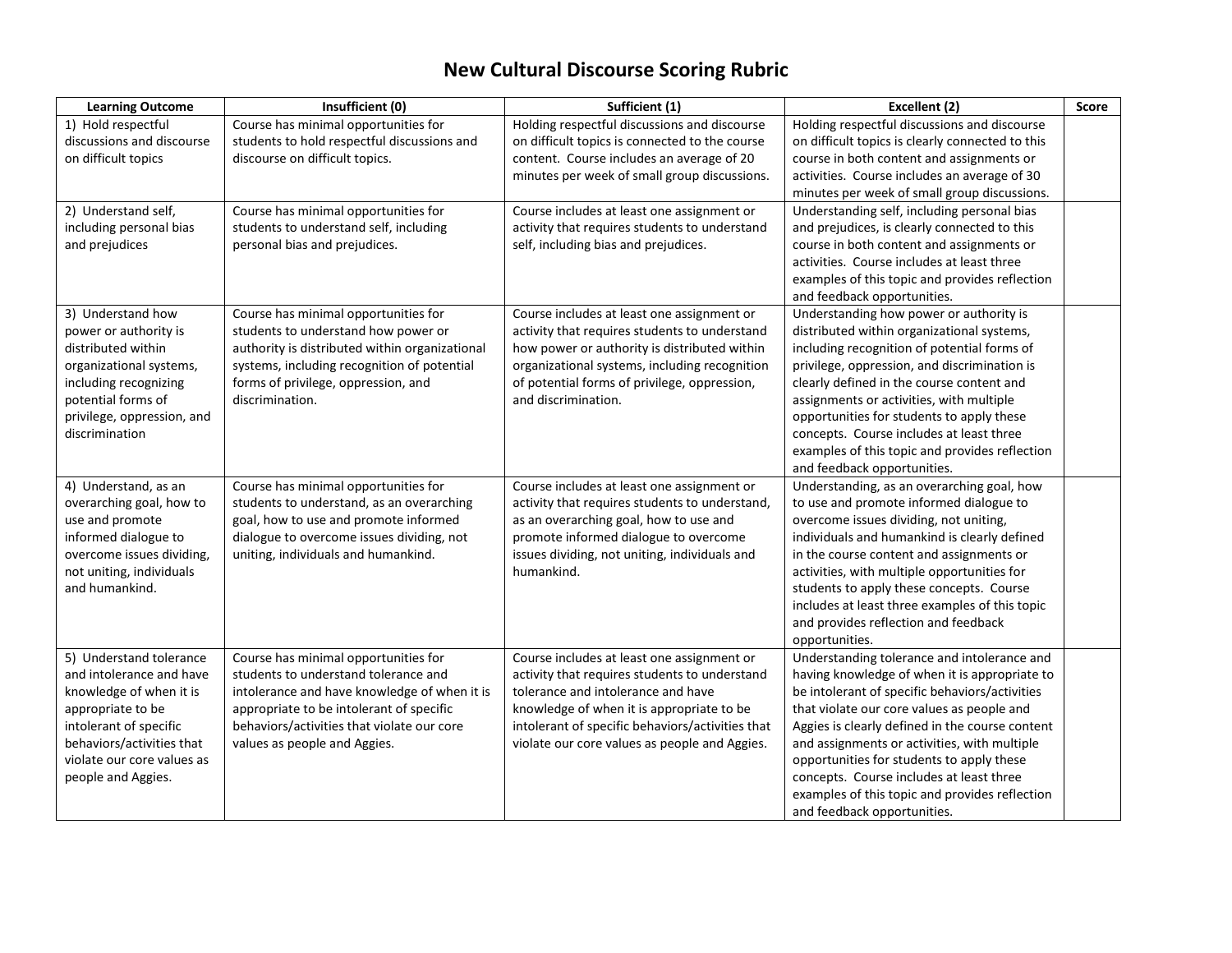## **New Cultural Discourse Scoring Rubric**

| <b>Learning Outcome</b>    | Insufficient (0)                               | Sufficient (1)                                   | Excellent (2)                                    | Score |
|----------------------------|------------------------------------------------|--------------------------------------------------|--------------------------------------------------|-------|
| 1) Hold respectful         | Course has minimal opportunities for           | Holding respectful discussions and discourse     | Holding respectful discussions and discourse     |       |
| discussions and discourse  | students to hold respectful discussions and    | on difficult topics is connected to the course   | on difficult topics is clearly connected to this |       |
| on difficult topics        | discourse on difficult topics.                 | content. Course includes an average of 20        | course in both content and assignments or        |       |
|                            |                                                | minutes per week of small group discussions.     | activities. Course includes an average of 30     |       |
|                            |                                                |                                                  | minutes per week of small group discussions.     |       |
| 2) Understand self,        | Course has minimal opportunities for           | Course includes at least one assignment or       | Understanding self, including personal bias      |       |
| including personal bias    | students to understand self, including         | activity that requires students to understand    | and prejudices, is clearly connected to this     |       |
| and prejudices             | personal bias and prejudices.                  | self, including bias and prejudices.             | course in both content and assignments or        |       |
|                            |                                                |                                                  | activities. Course includes at least three       |       |
|                            |                                                |                                                  | examples of this topic and provides reflection   |       |
|                            |                                                |                                                  | and feedback opportunities.                      |       |
| 3) Understand how          | Course has minimal opportunities for           | Course includes at least one assignment or       | Understanding how power or authority is          |       |
| power or authority is      | students to understand how power or            | activity that requires students to understand    | distributed within organizational systems,       |       |
| distributed within         | authority is distributed within organizational | how power or authority is distributed within     | including recognition of potential forms of      |       |
| organizational systems,    | systems, including recognition of potential    | organizational systems, including recognition    | privilege, oppression, and discrimination is     |       |
| including recognizing      | forms of privilege, oppression, and            | of potential forms of privilege, oppression,     | clearly defined in the course content and        |       |
| potential forms of         | discrimination.                                | and discrimination.                              | assignments or activities, with multiple         |       |
| privilege, oppression, and |                                                |                                                  | opportunities for students to apply these        |       |
| discrimination             |                                                |                                                  | concepts. Course includes at least three         |       |
|                            |                                                |                                                  | examples of this topic and provides reflection   |       |
|                            |                                                |                                                  | and feedback opportunities.                      |       |
| 4) Understand, as an       | Course has minimal opportunities for           | Course includes at least one assignment or       | Understanding, as an overarching goal, how       |       |
| overarching goal, how to   | students to understand, as an overarching      | activity that requires students to understand,   | to use and promote informed dialogue to          |       |
| use and promote            | goal, how to use and promote informed          | as an overarching goal, how to use and           | overcome issues dividing, not uniting,           |       |
| informed dialogue to       | dialogue to overcome issues dividing, not      | promote informed dialogue to overcome            | individuals and humankind is clearly defined     |       |
| overcome issues dividing,  | uniting, individuals and humankind.            | issues dividing, not uniting, individuals and    | in the course content and assignments or         |       |
| not uniting, individuals   |                                                | humankind.                                       | activities, with multiple opportunities for      |       |
| and humankind.             |                                                |                                                  | students to apply these concepts. Course         |       |
|                            |                                                |                                                  | includes at least three examples of this topic   |       |
|                            |                                                |                                                  | and provides reflection and feedback             |       |
|                            |                                                |                                                  | opportunities.                                   |       |
| 5) Understand tolerance    | Course has minimal opportunities for           | Course includes at least one assignment or       | Understanding tolerance and intolerance and      |       |
| and intolerance and have   | students to understand tolerance and           | activity that requires students to understand    | having knowledge of when it is appropriate to    |       |
| knowledge of when it is    | intolerance and have knowledge of when it is   | tolerance and intolerance and have               | be intolerant of specific behaviors/activities   |       |
| appropriate to be          | appropriate to be intolerant of specific       | knowledge of when it is appropriate to be        | that violate our core values as people and       |       |
| intolerant of specific     | behaviors/activities that violate our core     | intolerant of specific behaviors/activities that | Aggies is clearly defined in the course content  |       |
| behaviors/activities that  | values as people and Aggies.                   | violate our core values as people and Aggies.    | and assignments or activities, with multiple     |       |
| violate our core values as |                                                |                                                  | opportunities for students to apply these        |       |
| people and Aggies.         |                                                |                                                  | concepts. Course includes at least three         |       |
|                            |                                                |                                                  | examples of this topic and provides reflection   |       |
|                            |                                                |                                                  | and feedback opportunities.                      |       |